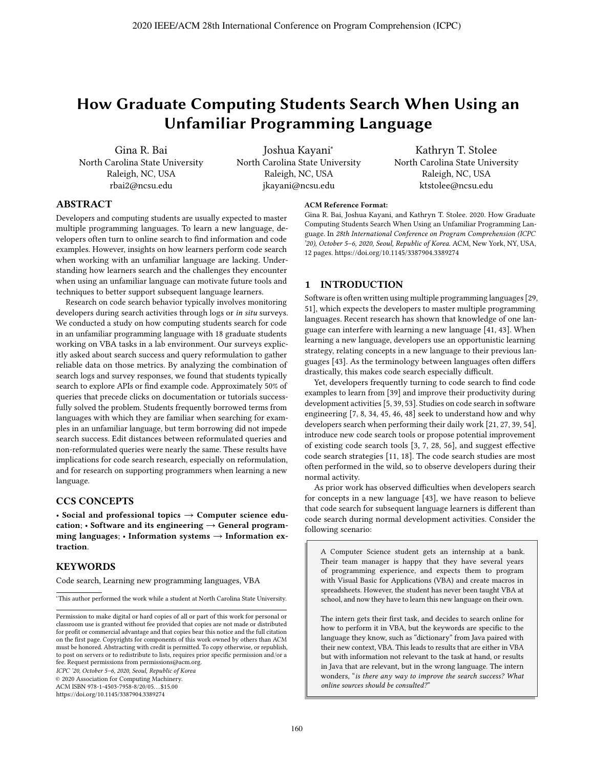# **How Graduate Computing Students Search When Using an Unfamiliar Programming Language**

Gina R. Bai North Carolina State University Raleigh, NC, USA rbai2@ncsu.edu

Joshua Kayani<sup>∗</sup> North Carolina State University Raleigh, NC, USA jkayani@ncsu.edu

Kathryn T. Stolee North Carolina State University Raleigh, NC, USA ktstolee@ncsu.edu

### **ABSTRACT**

Developers and computing students are usually expected to master multiple programming languages. To learn a new language, developers often turn to online search to find information and code examples. However, insights on how learners perform code search when working with an unfamiliar language are lacking. Understanding how learners search and the challenges they encounter when using an unfamiliar language can motivate future tools and techniques to better support subsequent language learners.

Research on code search behavior typically involves monitoring developers during search activities through logs or in situ surveys. We conducted a study on how computing students search for code in an unfamiliar programming language with 18 graduate students working on VBA tasks in a lab environment. Our surveys explicitly asked about search success and query reformulation to gather reliable data on those metrics. By analyzing the combination of search logs and survey responses, we found that students typically search to explore APIs or find example code. Approximately 50% of queries that precede clicks on documentation or tutorials successfully solved the problem. Students frequently borrowed terms from languages with which they are familiar when searching for examples in an unfamiliar language, but term borrowing did not impede search success. Edit distances between reformulated queries and non-reformulated queries were nearly the same. These results have implications for code search research, especially on reformulation, and for research on supporting programmers when learning a new language.

## **CCS CONCEPTS**

• **Social and professional topics** → **Computer science education**; • **Software and its engineering** → **General programming languages**; • **Information systems** → **Information extraction**.

# **KEYWORDS**

Code search, Learning new programming languages, VBA

∗ This author performed the work while a student at North Carolina State University.

ICPC '20, October 5–6, 2020, Seoul, Republic of Korea

© 2020 Association for Computing Machinery.

ACM ISBN 978-1-4503-7958-8/20/05. . . \$15.00

#### **ACM Reference Format:**

Gina R. Bai, Joshua Kayani, and Kathryn T. Stolee. 2020. How Graduate Computing Students Search When Using an Unfamiliar Programming Language. In 28th International Conference on Program Comprehension (ICPC '20), October 5–6, 2020, Seoul, Republic of Korea. ACM, New York, NY, USA, 12 pages. https://doi.org/10.1145/3387904.3389274

# **1 INTRODUCTION**

Software is often written using multiple programming languages [29, 51], which expects the developers to master multiple programming languages. Recent research has shown that knowledge of one language can interfere with learning a new language [41, 43]. When learning a new language, developers use an opportunistic learning strategy, relating concepts in a new language to their previous languages [43]. As the terminology between languages often differs drastically, this makes code search especially difficult.

Yet, developers frequently turning to code search to find code examples to learn from [39] and improve their productivity during development activities [5, 39, 53]. Studies on code search in software engineering [7, 8, 34, 45, 46, 48] seek to understand how and why developers search when performing their daily work [21, 27, 39, 54], introduce new code search tools or propose potential improvement of existing code search tools [3, 7, 28, 56], and suggest effective code search strategies [11, 18]. The code search studies are most often performed in the wild, so to observe developers during their normal activity.

As prior work has observed difficulties when developers search for concepts in a new language [43], we have reason to believe that code search for subsequent language learners is different than code search during normal development activities. Consider the following scenario:

A Computer Science student gets an internship at a bank. Their team manager is happy that they have several years of programming experience, and expects them to program with Visual Basic for Applications (VBA) and create macros in spreadsheets. However, the student has never been taught VBA at school, and now they have to learn this new language on their own.

The intern gets their first task, and decides to search online for how to perform it in VBA, but the keywords are specific to the language they know, such as "dictionary" from Java paired with their new context, VBA. This leads to results that are either in VBA but with information not relevant to the task at hand, or results in Java that are relevant, but in the wrong language. The intern wonders, "is there any way to improve the search success? What online sources should be consulted?"

Permission to make digital or hard copies of all or part of this work for personal or classroom use is granted without fee provided that copies are not made or distributed for profit or commercial advantage and that copies bear this notice and the full citation on the first page. Copyrights for components of this work owned by others than ACM must be honored. Abstracting with credit is permitted. To copy otherwise, or republish, to post on servers or to redistribute to lists, requires prior specific permission and/or a fee. Request permissions from permissions@acm.org.

https://doi.org/10.1145/3387904.3389274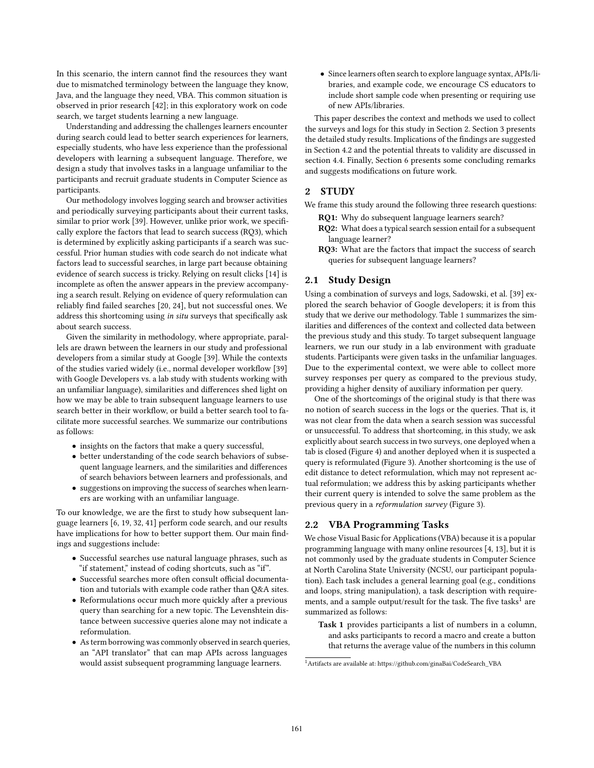In this scenario, the intern cannot find the resources they want due to mismatched terminology between the language they know, Java, and the language they need, VBA. This common situation is observed in prior research [42]; in this exploratory work on code search, we target students learning a new language.

Understanding and addressing the challenges learners encounter during search could lead to better search experiences for learners, especially students, who have less experience than the professional developers with learning a subsequent language. Therefore, we design a study that involves tasks in a language unfamiliar to the participants and recruit graduate students in Computer Science as participants.

Our methodology involves logging search and browser activities and periodically surveying participants about their current tasks, similar to prior work [39]. However, unlike prior work, we specifically explore the factors that lead to search success (RQ3), which is determined by explicitly asking participants if a search was successful. Prior human studies with code search do not indicate what factors lead to successful searches, in large part because obtaining evidence of search success is tricky. Relying on result clicks [14] is incomplete as often the answer appears in the preview accompanying a search result. Relying on evidence of query reformulation can reliably find failed searches [20, 24], but not successful ones. We address this shortcoming using in situ surveys that specifically ask about search success.

Given the similarity in methodology, where appropriate, parallels are drawn between the learners in our study and professional developers from a similar study at Google [39]. While the contexts of the studies varied widely (i.e., normal developer workflow [39] with Google Developers vs. a lab study with students working with an unfamiliar language), similarities and differences shed light on how we may be able to train subsequent language learners to use search better in their workflow, or build a better search tool to facilitate more successful searches. We summarize our contributions as follows:

- insights on the factors that make a query successful,
- better understanding of the code search behaviors of subsequent language learners, and the similarities and differences of search behaviors between learners and professionals, and
- suggestions on improving the success of searches when learners are working with an unfamiliar language.

To our knowledge, we are the first to study how subsequent language learners [6, 19, 32, 41] perform code search, and our results have implications for how to better support them. Our main findings and suggestions include:

- Successful searches use natural language phrases, such as "if statement," instead of coding shortcuts, such as "if".
- Successful searches more often consult official documentation and tutorials with example code rather than Q&A sites.
- Reformulations occur much more quickly after a previous query than searching for a new topic. The Levenshtein distance between successive queries alone may not indicate a reformulation.
- As term borrowing was commonly observed in search queries, an "API translator" that can map APIs across languages would assist subsequent programming language learners.

• Since learners often search to explore language syntax, APIs/libraries, and example code, we encourage CS educators to include short sample code when presenting or requiring use of new APIs/libraries.

This paper describes the context and methods we used to collect the surveys and logs for this study in Section 2. Section 3 presents the detailed study results. Implications of the findings are suggested in Section 4.2 and the potential threats to validity are discussed in section 4.4. Finally, Section 6 presents some concluding remarks and suggests modifications on future work.

### **2 STUDY**

- We frame this study around the following three research questions: **RQ1:** Why do subsequent language learners search?
	- **RQ2:** What does a typical search session entail for a subsequent language learner?
	- **RQ3:** What are the factors that impact the success of search queries for subsequent language learners?

### **2.1 Study Design**

Using a combination of surveys and logs, Sadowski, et al. [39] explored the search behavior of Google developers; it is from this study that we derive our methodology. Table 1 summarizes the similarities and differences of the context and collected data between the previous study and this study. To target subsequent language learners, we run our study in a lab environment with graduate students. Participants were given tasks in the unfamiliar languages. Due to the experimental context, we were able to collect more survey responses per query as compared to the previous study, providing a higher density of auxiliary information per query.

One of the shortcomings of the original study is that there was no notion of search success in the logs or the queries. That is, it was not clear from the data when a search session was successful or unsuccessful. To address that shortcoming, in this study, we ask explicitly about search success in two surveys, one deployed when a tab is closed (Figure 4) and another deployed when it is suspected a query is reformulated (Figure 3). Another shortcoming is the use of edit distance to detect reformulation, which may not represent actual reformulation; we address this by asking participants whether their current query is intended to solve the same problem as the previous query in a reformulation survey (Figure 3).

### **2.2 VBA Programming Tasks**

We chose Visual Basic for Applications (VBA) because it is a popular programming language with many online resources [4, 13], but it is not commonly used by the graduate students in Computer Science at North Carolina State University (NCSU, our participant population). Each task includes a general learning goal (e.g., conditions and loops, string manipulation), a task description with requirements, and a sample output/result for the task. The five tasks<sup>1</sup> are summarized as follows:

**Task 1** provides participants a list of numbers in a column, and asks participants to record a macro and create a button that returns the average value of the numbers in this column

<sup>1</sup>Artifacts are available at: https://github.com/ginaBai/CodeSearch\_VBA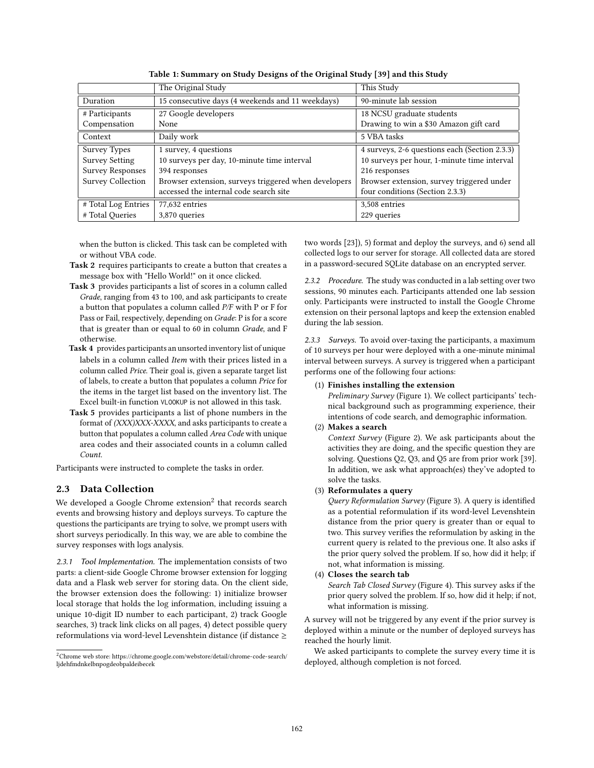|                          | The Original Study                                   | This Study                                    |
|--------------------------|------------------------------------------------------|-----------------------------------------------|
| Duration                 | 15 consecutive days (4 weekends and 11 weekdays)     | 90-minute lab session                         |
| # Participants           | 27 Google developers                                 | 18 NCSU graduate students                     |
| Compensation             | None                                                 | Drawing to win a \$30 Amazon gift card        |
| Context                  | Daily work                                           | 5 VBA tasks                                   |
| <b>Survey Types</b>      | 1 survey, 4 questions                                | 4 surveys, 2-6 questions each (Section 2.3.3) |
| <b>Survey Setting</b>    | 10 surveys per day, 10-minute time interval          | 10 surveys per hour, 1-minute time interval   |
| <b>Survey Responses</b>  | 394 responses                                        | 216 responses                                 |
| <b>Survey Collection</b> | Browser extension, surveys triggered when developers | Browser extension, survey triggered under     |
|                          | accessed the internal code search site               | four conditions (Section 2.3.3)               |
| # Total Log Entries      | 77,632 entries                                       | 3,508 entries                                 |
| # Total Queries          | 3,870 queries                                        | 229 queries                                   |
|                          |                                                      |                                               |

**Table 1: Summary on Study Designs of the Original Study [39] and this Study**

when the button is clicked. This task can be completed with or without VBA code.

- **Task 2** requires participants to create a button that creates a message box with "Hello World!" on it once clicked.
- **Task 3** provides participants a list of scores in a column called Grade, ranging from 43 to 100, and ask participants to create a button that populates a column called P/F with P or F for Pass or Fail, respectively, depending on Grade: P is for a score that is greater than or equal to 60 in column Grade, and F otherwise.
- **Task 4** provides participants an unsorted inventory list of unique labels in a column called Item with their prices listed in a column called Price. Their goal is, given a separate target list of labels, to create a button that populates a column Price for the items in the target list based on the inventory list. The Excel built-in function VLOOKUP is not allowed in this task.
- **Task 5** provides participants a list of phone numbers in the format of (XXX)XXX-XXXX, and asks participants to create a button that populates a column called Area Code with unique area codes and their associated counts in a column called Count.

Participants were instructed to complete the tasks in order.

# **2.3 Data Collection**

We developed a Google Chrome extension<sup>2</sup> that records search events and browsing history and deploys surveys. To capture the questions the participants are trying to solve, we prompt users with short surveys periodically. In this way, we are able to combine the survey responses with logs analysis.

*2.3.1 Tool Implementation.* The implementation consists of two parts: a client-side Google Chrome browser extension for logging data and a Flask web server for storing data. On the client side, the browser extension does the following: 1) initialize browser local storage that holds the log information, including issuing a unique 10-digit ID number to each participant, 2) track Google searches, 3) track link clicks on all pages, 4) detect possible query reformulations via word-level Levenshtein distance (if distance  $\geq$ 

two words [23]), 5) format and deploy the surveys, and 6) send all collected logs to our server for storage. All collected data are stored in a password-secured SQLite database on an encrypted server.

*2.3.2 Procedure.* The study was conducted in a lab setting over two sessions, 90 minutes each. Participants attended one lab session only. Participants were instructed to install the Google Chrome extension on their personal laptops and keep the extension enabled during the lab session.

*2.3.3 Surveys.* To avoid over-taxing the participants, a maximum of 10 surveys per hour were deployed with a one-minute minimal interval between surveys. A survey is triggered when a participant performs one of the following four actions:

### (1) **Finishes installing the extension**

Preliminary Survey (Figure 1). We collect participants' technical background such as programming experience, their intentions of code search, and demographic information.

### (2) **Makes a search**

Context Survey (Figure 2). We ask participants about the activities they are doing, and the specific question they are solving. Questions Q2, Q3, and Q5 are from prior work [39]. In addition, we ask what approach(es) they've adopted to solve the tasks.

### (3) **Reformulates a query**

Query Reformulation Survey (Figure 3). A query is identified as a potential reformulation if its word-level Levenshtein distance from the prior query is greater than or equal to two. This survey verifies the reformulation by asking in the current query is related to the previous one. It also asks if the prior query solved the problem. If so, how did it help; if not, what information is missing.

### (4) **Closes the search tab**

Search Tab Closed Survey (Figure 4). This survey asks if the prior query solved the problem. If so, how did it help; if not, what information is missing.

A survey will not be triggered by any event if the prior survey is deployed within a minute or the number of deployed surveys has reached the hourly limit.

We asked participants to complete the survey every time it is deployed, although completion is not forced.

<sup>2</sup>Chrome web store: https://chrome.google.com/webstore/detail/chrome-code-search/ ljdehfmdnkelbnpogdeobpaldeibecek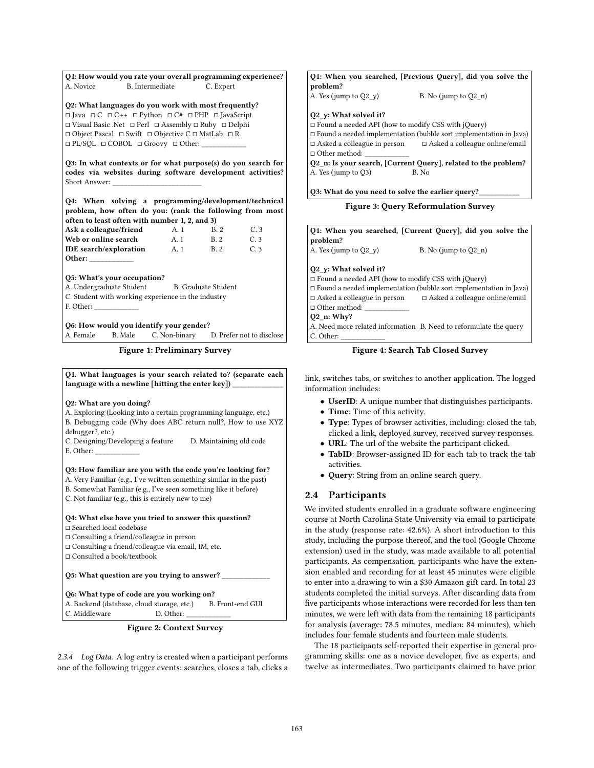**Q1: How would you rate your overall programming experience?** A. Novice B. Intermediate C. Expert

**Q2: What languages do you work with most frequently?** - Java - C - C++ - Python - C# - PHP - JavaScript □ Visual Basic .Net □ Perl □ Assembly □ Ruby □ Delphi □ Object Pascal □ Swift □ Objective C □ MatLab □ R - PL/SQL - COBOL - Groovy - Other: \_\_\_\_\_\_\_\_\_\_\_\_

**Q3: In what contexts or for what purpose(s) do you search for codes via websites during software development activities?** Short Answer:

**Q4: When solving a programming/development/technical problem, how often do you: (rank the following from most often to least often with number 1, 2, and 3)**

| Ask a colleague/friend        | A. 1 | B 2 | C. 3 |
|-------------------------------|------|-----|------|
| Web or online search          | A. 1 | B 2 | C 3  |
| <b>IDE</b> search/exploration | A. 1 | B 2 | C.3  |
| Other:                        |      |     |      |

**Q5: What's your occupation?**

A. Undergraduate Student B. Graduate Student

C. Student with working experience in the industry

F. Other:

**Q6: How would you identify your gender?**

A. Female B. Male C. Non-binary D. Prefer not to disclose

**Figure 1: Preliminary Survey**

**Q1. What languages is your search related to? (separate each** language with a newline [hitting the enter key])

### **Q2: What are you doing?**

A. Exploring (Looking into a certain programming language, etc.) B. Debugging code (Why does ABC return null?, How to use XYZ debugger?, etc.)

C. Designing/Developing a feature D. Maintaining old code E. Other:

**Q3: How familiar are you with the code you're looking for?** A. Very Familiar (e.g., I've written something similar in the past) B. Somewhat Familiar (e.g., I've seen something like it before) C. Not familiar (e.g., this is entirely new to me)

# **Q4: What else have you tried to answer this question?**

- Searched local codebase

- Consulting a friend/colleague in person

- Consulting a friend/colleague via email, IM, etc.

- Consulted a book/textbook

**Q5: What question are you trying to answer?** \_\_\_\_\_\_\_\_\_\_\_\_\_

**Q6: What type of code are you working on?** A. Backend (database, cloud storage, etc.) B. Front-end GUI C. Middleware  $\qquad \qquad$  D. Other:

**Figure 2: Context Survey**

*2.3.4 Log Data.* A log entry is created when a participant performs one of the following trigger events: searches, closes a tab, clicks a

### **Q1: When you searched, [Previous Query], did you solve the problem?**

A. Yes (jump to  $Q2_y$ ) B. No (jump to  $Q2_n$ )

#### **Q2\_y: What solved it?**

□ Found a needed API (how to modify CSS with jQuery) - Found a needed implementation (bubble sort implementation in Java) Asked a colleague online/email

- Asked a colleague in person -□ Other method: \_\_\_\_\_\_\_\_\_\_\_\_

**Q2\_n: Is your search, [Current Query], related to the problem?** A. Yes (jump to Q3) B. No

**Q3: What do you need to solve the earlier query?**\_\_\_\_\_\_\_\_\_\_\_

**Figure 3: Query Reformulation Survey**

**Q1: When you searched, [Current Query], did you solve the problem?** A. Yes (jump to  $Q2_y$ ) B. No (jump to  $Q2_n$ ) **Q2\_y: What solved it?** - Found a needed API (how to modify CSS with jQuery) □ Found a needed implementation (bubble sort implementation in Java) - Asked a colleague in person - $\square$  <br> Asked a colleague online/email □ Other method: \_\_\_\_\_\_\_\_\_\_\_\_\_ **Q2\_n: Why?** A. Need more related information B. Need to reformulate the query C. Other:

**Figure 4: Search Tab Closed Survey**

link, switches tabs, or switches to another application. The logged information includes:

- **UserID**: A unique number that distinguishes participants.
- **Time**: Time of this activity.
- **Type**: Types of browser activities, including: closed the tab, clicked a link, deployed survey, received survey responses.
- **URL**: The url of the website the participant clicked.
- **TabID**: Browser-assigned ID for each tab to track the tab activities.
- **Query**: String from an online search query.

# **2.4 Participants**

We invited students enrolled in a graduate software engineering course at North Carolina State University via email to participate in the study (response rate: 42.6%). A short introduction to this study, including the purpose thereof, and the tool (Google Chrome extension) used in the study, was made available to all potential participants. As compensation, participants who have the extension enabled and recording for at least 45 minutes were eligible to enter into a drawing to win a \$30 Amazon gift card. In total 23 students completed the initial surveys. After discarding data from five participants whose interactions were recorded for less than ten minutes, we were left with data from the remaining 18 participants for analysis (average: 78.5 minutes, median: 84 minutes), which includes four female students and fourteen male students.

The 18 participants self-reported their expertise in general programming skills: one as a novice developer, five as experts, and twelve as intermediates. Two participants claimed to have prior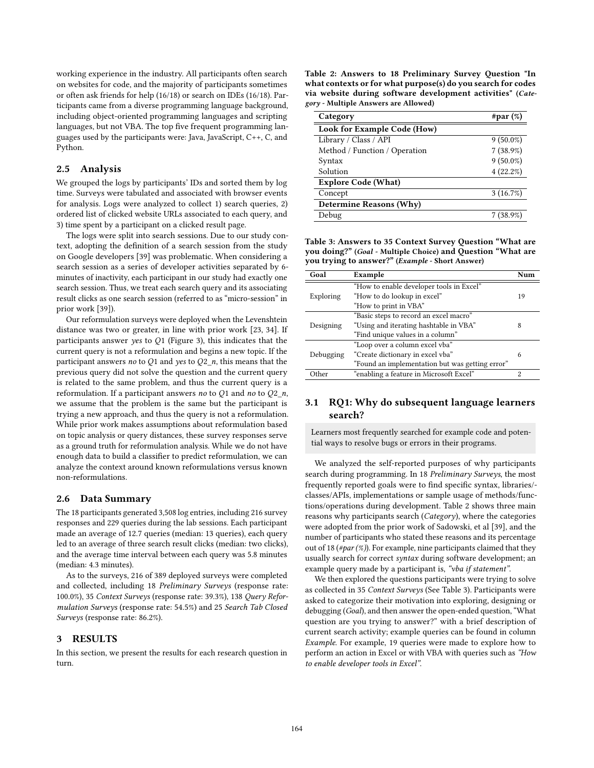working experience in the industry. All participants often search on websites for code, and the majority of participants sometimes or often ask friends for help (16/18) or search on IDEs (16/18). Participants came from a diverse programming language background, including object-oriented programming languages and scripting languages, but not VBA. The top five frequent programming languages used by the participants were: Java, JavaScript, C++, C, and Python.

### **2.5 Analysis**

We grouped the logs by participants' IDs and sorted them by log time. Surveys were tabulated and associated with browser events for analysis. Logs were analyzed to collect 1) search queries, 2) ordered list of clicked website URLs associated to each query, and 3) time spent by a participant on a clicked result page.

The logs were split into search sessions. Due to our study context, adopting the definition of a search session from the study on Google developers [39] was problematic. When considering a search session as a series of developer activities separated by 6 minutes of inactivity, each participant in our study had exactly one search session. Thus, we treat each search query and its associating result clicks as one search session (referred to as "micro-session" in prior work [39]).

Our reformulation surveys were deployed when the Levenshtein distance was two or greater, in line with prior work [23, 34]. If participants answer yes to  $Q1$  (Figure 3), this indicates that the current query is not a reformulation and begins a new topic. If the participant answers no to Q1 and yes to  $Q2_n$ , this means that the previous query did not solve the question and the current query is related to the same problem, and thus the current query is a reformulation. If a participant answers no to  $Q1$  and no to  $Q2_n$ , we assume that the problem is the same but the participant is trying a new approach, and thus the query is not a reformulation. While prior work makes assumptions about reformulation based on topic analysis or query distances, these survey responses serve as a ground truth for reformulation analysis. While we do not have enough data to build a classifier to predict reformulation, we can analyze the context around known reformulations versus known non-reformulations.

#### **2.6 Data Summary**

The 18 participants generated 3,508 log entries, including 216 survey responses and 229 queries during the lab sessions. Each participant made an average of 12.7 queries (median: 13 queries), each query led to an average of three search result clicks (median: two clicks), and the average time interval between each query was 5.8 minutes (median: 4.3 minutes).

As to the surveys, 216 of 389 deployed surveys were completed and collected, including 18 Preliminary Surveys (response rate: 100.0%), 35 Context Surveys (response rate: 39.3%), 138 Query Reformulation Surveys (response rate: 54.5%) and 25 Search Tab Closed Surveys (response rate: 86.2%).

### **3 RESULTS**

In this section, we present the results for each research question in turn.

**Table 2: Answers to 18 Preliminary Survey Question "In what contexts or for what purpose(s) do you search for codes via website during software development activities" (***Category* **- Multiple Answers are Allowed)**

| Category                       | #par $(\%)$ |  |  |
|--------------------------------|-------------|--|--|
| Look for Example Code (How)    |             |  |  |
| Library / Class / API          | $9(50.0\%)$ |  |  |
| Method / Function / Operation  | $7(38.9\%)$ |  |  |
| Syntax                         | $9(50.0\%)$ |  |  |
| Solution                       | 4(22.2%)    |  |  |
| <b>Explore Code (What)</b>     |             |  |  |
| Concept                        | 3(16.7%)    |  |  |
| <b>Determine Reasons (Why)</b> |             |  |  |
| Debug                          | 7 (38.9%)   |  |  |

**Table 3: Answers to 35 Context Survey Question "What are you doing?" (***Goal* **- Multiple Choice) and Question "What are you trying to answer?" (***Example* **- Short Answer)**

| Goal         | Example                                         | $N11$ m |
|--------------|-------------------------------------------------|---------|
|              | "How to enable developer tools in Excel"        |         |
| Exploring    | "How to do lookup in excel"                     | 19      |
|              | "How to print in VBA"                           |         |
|              | "Basic steps to record an excel macro"          |         |
| Designing    | "Using and iterating hashtable in VBA"          | 8       |
|              | "Find unique values in a column"                |         |
|              | "Loop over a column excel vba"                  |         |
| Debugging    | "Create dictionary in excel vba"                | 6       |
|              | "Found an implementation but was getting error" |         |
| <b>Ither</b> | "enabling a feature in Microsoft Excel"         | 2       |

### **3.1 RQ1: Why do subsequent language learners search?**

Learners most frequently searched for example code and potential ways to resolve bugs or errors in their programs.

We analyzed the self-reported purposes of why participants search during programming. In 18 Preliminary Surveys, the most frequently reported goals were to find specific syntax, libraries/ classes/APIs, implementations or sample usage of methods/functions/operations during development. Table 2 shows three main reasons why participants search (Category), where the categories were adopted from the prior work of Sadowski, et al [39], and the number of participants who stated these reasons and its percentage out of 18 (#par  $(\%)$ ). For example, nine participants claimed that they usually search for correct syntax during software development; an example query made by a participant is, "vba if statement".

We then explored the questions participants were trying to solve as collected in 35 Context Surveys (See Table 3). Participants were asked to categorize their motivation into exploring, designing or debugging (Goal), and then answer the open-ended question, "What question are you trying to answer?" with a brief description of current search activity; example queries can be found in column Example. For example, 19 queries were made to explore how to perform an action in Excel or with VBA with queries such as "How to enable developer tools in Excel".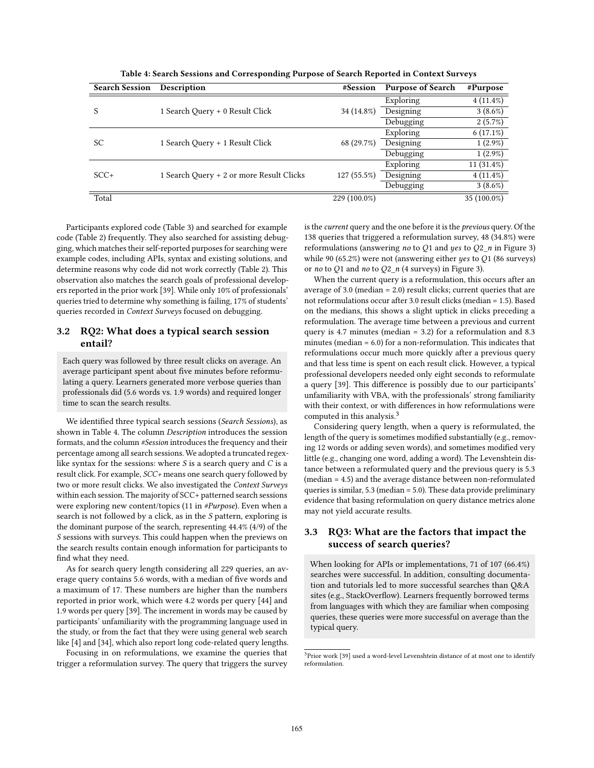| <b>Search Session</b> | Description                              | #Session     | <b>Purpose of Search</b> | #Purpose      |
|-----------------------|------------------------------------------|--------------|--------------------------|---------------|
|                       |                                          |              | Exploring                | $4(11.4\%)$   |
| S                     | 1 Search Query + 0 Result Click          | 34 (14.8%)   | Designing                | $3(8.6\%)$    |
|                       |                                          |              | Debugging                | $2(5.7\%)$    |
|                       |                                          |              | Exploring                | $6(17.1\%)$   |
| <b>SC</b>             | 1 Search Query + 1 Result Click          | 68 (29.7%)   | Designing                | $1(2.9\%)$    |
|                       |                                          |              | Debugging                | $1(2.9\%)$    |
|                       |                                          |              | Exploring                | 11 $(31.4\%)$ |
| $SCC+$                | 1 Search Query + 2 or more Result Clicks | 127 (55.5%)  | Designing                | $4(11.4\%)$   |
|                       |                                          |              | Debugging                | $3(8.6\%)$    |
| Total                 |                                          | 229 (100.0%) |                          | 35 (100.0%)   |

**Table 4: Search Sessions and Corresponding Purpose of Search Reported in Context Surveys**

Participants explored code (Table 3) and searched for example code (Table 2) frequently. They also searched for assisting debugging, which matches their self-reported purposes for searching were example codes, including APIs, syntax and existing solutions, and determine reasons why code did not work correctly (Table 2). This observation also matches the search goals of professional developers reported in the prior work [39]. While only 10% of professionals' queries tried to determine why something is failing, 17% of students' queries recorded in Context Surveys focused on debugging.

# **3.2 RQ2: What does a typical search session entail?**

Each query was followed by three result clicks on average. An average participant spent about five minutes before reformulating a query. Learners generated more verbose queries than professionals did (5.6 words vs. 1.9 words) and required longer time to scan the search results.

We identified three typical search sessions (Search Sessions), as shown in Table 4. The column Description introduces the session formats, and the column #Session introduces the frequency and their percentage among all search sessions. We adopted a truncated regexlike syntax for the sessions: where  $S$  is a search query and  $C$  is a result click. For example, SCC+ means one search query followed by two or more result clicks. We also investigated the Context Surveys within each session. The majority of SCC+ patterned search sessions were exploring new content/topics (11 in #Purpose). Even when a search is not followed by a click, as in the S pattern, exploring is the dominant purpose of the search, representing 44.4% (4/9) of the S sessions with surveys. This could happen when the previews on the search results contain enough information for participants to find what they need.

As for search query length considering all 229 queries, an average query contains 5.6 words, with a median of five words and a maximum of 17. These numbers are higher than the numbers reported in prior work, which were 4.2 words per query [44] and 1.9 words per query [39]. The increment in words may be caused by participants' unfamiliarity with the programming language used in the study, or from the fact that they were using general web search like [4] and [34], which also report long code-related query lengths.

Focusing in on reformulations, we examine the queries that trigger a reformulation survey. The query that triggers the survey is the *current* query and the one before it is the *previous* query. Of the 138 queries that triggered a reformulation survey, 48 (34.8%) were reformulations (answering no to Q1 and yes to  $Q2$ <sub>n</sub> in Figure 3) while 90 (65.2%) were not (answering either yes to  $Q1$  (86 surveys) or *no* to Q1 and *no* to Q2\_*n* (4 surveys) in Figure 3).

When the current query is a reformulation, this occurs after an average of 3.0 (median = 2.0) result clicks; current queries that are not reformulations occur after 3.0 result clicks (median = 1.5). Based on the medians, this shows a slight uptick in clicks preceding a reformulation. The average time between a previous and current query is 4.7 minutes (median = 3.2) for a reformulation and 8.3 minutes (median = 6.0) for a non-reformulation. This indicates that reformulations occur much more quickly after a previous query and that less time is spent on each result click. However, a typical professional developers needed only eight seconds to reformulate a query [39]. This difference is possibly due to our participants' unfamiliarity with VBA, with the professionals' strong familiarity with their context, or with differences in how reformulations were computed in this analysis.<sup>3</sup>

Considering query length, when a query is reformulated, the length of the query is sometimes modified substantially (e.g., removing 12 words or adding seven words), and sometimes modified very little (e.g., changing one word, adding a word). The Levenshtein distance between a reformulated query and the previous query is 5.3 (median = 4.5) and the average distance between non-reformulated queries is similar, 5.3 (median = 5.0). These data provide preliminary evidence that basing reformulation on query distance metrics alone may not yield accurate results.

# **3.3 RQ3: What are the factors that impact the success of search queries?**

When looking for APIs or implementations, 71 of 107 (66.4%) searches were successful. In addition, consulting documentation and tutorials led to more successful searches than Q&A sites (e.g., StackOverflow). Learners frequently borrowed terms from languages with which they are familiar when composing queries, these queries were more successful on average than the typical query.

<sup>&</sup>lt;sup>3</sup>Prior work [39] used a word-level Levenshtein distance of at most one to identify reformulation.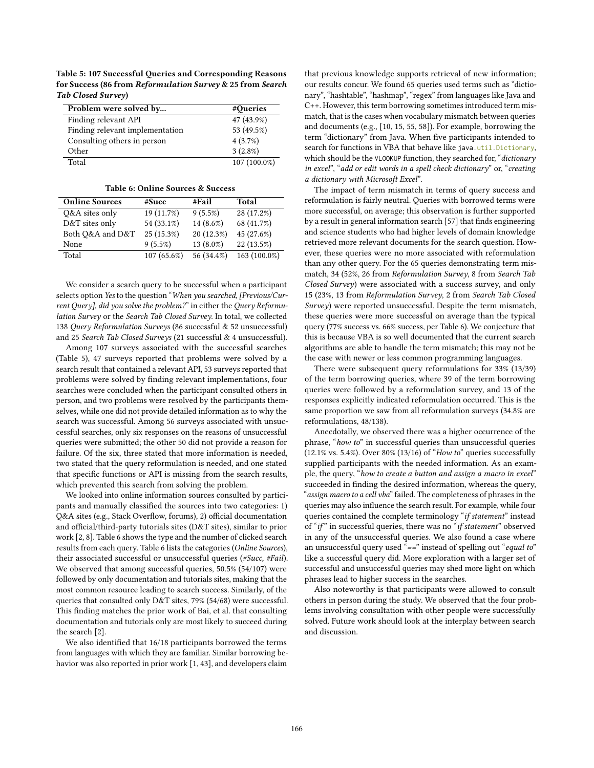**Table 5: 107 Successful Queries and Corresponding Reasons for Success (86 from** *Reformulation Survey* **& 25 from** *Search Tab Closed Survey***)**

| Problem were solved by          | #Queries     |
|---------------------------------|--------------|
| Finding relevant API            | 47 (43.9%)   |
| Finding relevant implementation | 53 (49.5%)   |
| Consulting others in person     | 4(3.7%)      |
| Other                           | $3(2.8\%)$   |
| Total                           | 107 (100.0%) |

**Table 6: Online Sources & Success**

| <b>Online Sources</b> | #Succ       | #Fail      | Total        |
|-----------------------|-------------|------------|--------------|
| Q&A sites only        | 19 (11.7%)  | $9(5.5\%)$ | 28 (17.2%)   |
| D&T sites only        | 54 (33.1%)  | 14 (8.6%)  | 68 (41.7%)   |
| Both O&A and D&T      | 25 (15.3%)  | 20 (12.3%) | 45 (27.6%)   |
| None                  | 9(5.5%)     | 13 (8.0%)  | 22 (13.5%)   |
| Total                 | 107 (65.6%) | 56 (34.4%) | 163 (100.0%) |

We consider a search query to be successful when a participant selects option Yes to the question "When you searched, [Previous/Current Query], did you solve the problem?" in either the Query Reformulation Survey or the Search Tab Closed Survey. In total, we collected 138 Query Reformulation Surveys (86 successful & 52 unsuccessful) and 25 Search Tab Closed Surveys (21 successful & 4 unsuccessful).

Among 107 surveys associated with the successful searches (Table 5), 47 surveys reported that problems were solved by a search result that contained a relevant API, 53 surveys reported that problems were solved by finding relevant implementations, four searches were concluded when the participant consulted others in person, and two problems were resolved by the participants themselves, while one did not provide detailed information as to why the search was successful. Among 56 surveys associated with unsuccessful searches, only six responses on the reasons of unsuccessful queries were submitted; the other 50 did not provide a reason for failure. Of the six, three stated that more information is needed, two stated that the query reformulation is needed, and one stated that specific functions or API is missing from the search results, which prevented this search from solving the problem.

We looked into online information sources consulted by participants and manually classified the sources into two categories: 1) Q&A sites (e.g., Stack Overflow, forums), 2) official documentation and official/third-party tutorials sites (D&T sites), similar to prior work [2, 8]. Table 6 shows the type and the number of clicked search results from each query. Table 6 lists the categories (Online Sources), their associated successful or unsuccessful queries (#Succ, #Fail). We observed that among successful queries, 50.5% (54/107) were followed by only documentation and tutorials sites, making that the most common resource leading to search success. Similarly, of the queries that consulted only D&T sites, 79% (54/68) were successful. This finding matches the prior work of Bai, et al. that consulting documentation and tutorials only are most likely to succeed during the search [2].

We also identified that 16/18 participants borrowed the terms from languages with which they are familiar. Similar borrowing behavior was also reported in prior work [1, 43], and developers claim

that previous knowledge supports retrieval of new information; our results concur. We found 65 queries used terms such as "dictionary", "hashtable", "hashmap", "regex" from languages like Java and C++. However, this term borrowing sometimes introduced term mismatch, that is the cases when vocabulary mismatch between queries and documents (e.g., [10, 15, 55, 58]). For example, borrowing the term "dictionary" from Java. When five participants intended to search for functions in VBA that behave like java.util.Dictionary, which should be the VLOOKUP function, they searched for, "dictionary in excel", "add or edit words in a spell check dictionary" or, "creating a dictionary with Microsoft Excel".

The impact of term mismatch in terms of query success and reformulation is fairly neutral. Queries with borrowed terms were more successful, on average; this observation is further supported by a result in general information search [57] that finds engineering and science students who had higher levels of domain knowledge retrieved more relevant documents for the search question. However, these queries were no more associated with reformulation than any other query. For the 65 queries demonstrating term mismatch, 34 (52%, 26 from Reformulation Survey, 8 from Search Tab Closed Survey) were associated with a success survey, and only 15 (23%, 13 from Reformulation Survey, 2 from Search Tab Closed Survey) were reported unsuccessful. Despite the term mismatch, these queries were more successful on average than the typical query (77% success vs. 66% success, per Table 6). We conjecture that this is because VBA is so well documented that the current search algorithms are able to handle the term mismatch; this may not be the case with newer or less common programming languages.

There were subsequent query reformulations for 33% (13/39) of the term borrowing queries, where 39 of the term borrowing queries were followed by a reformulation survey, and 13 of the responses explicitly indicated reformulation occurred. This is the same proportion we saw from all reformulation surveys (34.8% are reformulations, 48/138).

Anecdotally, we observed there was a higher occurrence of the phrase, "how to" in successful queries than unsuccessful queries (12.1% vs. 5.4%). Over  $80\%$  (13/16) of "How to" queries successfully supplied participants with the needed information. As an example, the query, "how to create a button and assign a macro in excel" succeeded in finding the desired information, whereas the query, "assign macro to a cell vba" failed. The completeness of phrases in the queries may also influence the search result. For example, while four queries contained the complete terminology "if statement" instead of "if" in successful queries, there was no "if statement" observed in any of the unsuccessful queries. We also found a case where an unsuccessful query used "==" instead of spelling out "equal to" like a successful query did. More exploration with a larger set of successful and unsuccessful queries may shed more light on which phrases lead to higher success in the searches.

Also noteworthy is that participants were allowed to consult others in person during the study. We observed that the four problems involving consultation with other people were successfully solved. Future work should look at the interplay between search and discussion.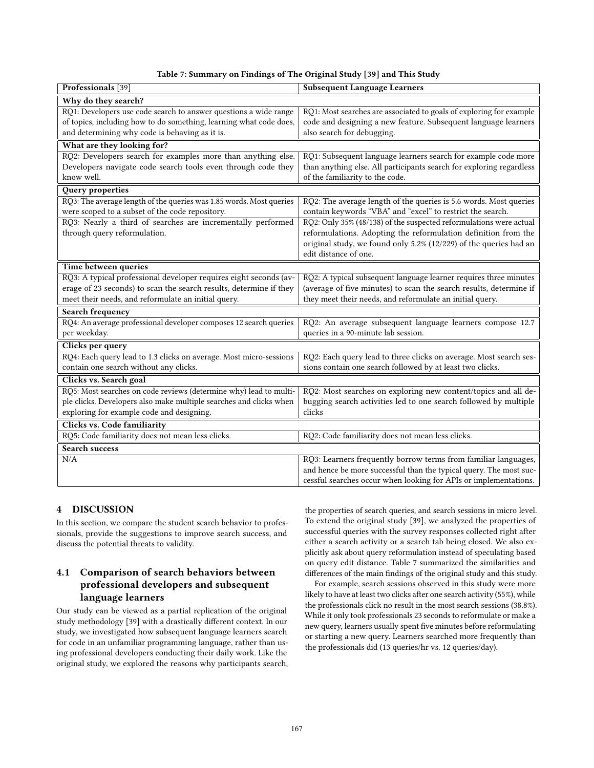| Table 7: Summary on Findings of The Original Study [39] and This Study |  |  |  |  |
|------------------------------------------------------------------------|--|--|--|--|
|------------------------------------------------------------------------|--|--|--|--|

| Professionals [39]                                                  | <b>Subsequent Language Learners</b>                                  |  |  |
|---------------------------------------------------------------------|----------------------------------------------------------------------|--|--|
| Why do they search?                                                 |                                                                      |  |  |
| RQ1: Developers use code search to answer questions a wide range    | RQ1: Most searches are associated to goals of exploring for example  |  |  |
| of topics, including how to do something, learning what code does,  | code and designing a new feature. Subsequent language learners       |  |  |
| and determining why code is behaving as it is.                      | also search for debugging.                                           |  |  |
| What are they looking for?                                          |                                                                      |  |  |
| RQ2: Developers search for examples more than anything else.        | RQ1: Subsequent language learners search for example code more       |  |  |
| Developers navigate code search tools even through code they        | than anything else. All participants search for exploring regardless |  |  |
| know well.                                                          | of the familiarity to the code.                                      |  |  |
| Query properties                                                    |                                                                      |  |  |
| RQ3: The average length of the queries was 1.85 words. Most queries | RQ2: The average length of the queries is 5.6 words. Most queries    |  |  |
| were scoped to a subset of the code repository.                     | contain keywords "VBA" and "excel" to restrict the search.           |  |  |
| RQ3: Nearly a third of searches are incrementally performed         | RQ2: Only 35% (48/138) of the suspected reformulations were actual   |  |  |
| through query reformulation.                                        | reformulations. Adopting the reformulation definition from the       |  |  |
|                                                                     | original study, we found only 5.2% (12/229) of the queries had an    |  |  |
|                                                                     | edit distance of one.                                                |  |  |
| Time between queries                                                |                                                                      |  |  |
| RQ3: A typical professional developer requires eight seconds (av-   | RQ2: A typical subsequent language learner requires three minutes    |  |  |
| erage of 23 seconds) to scan the search results, determine if they  | (average of five minutes) to scan the search results, determine if   |  |  |
| meet their needs, and reformulate an initial query.                 | they meet their needs, and reformulate an initial query.             |  |  |
| <b>Search frequency</b>                                             |                                                                      |  |  |
| RQ4: An average professional developer composes 12 search queries   | RQ2: An average subsequent language learners compose 12.7            |  |  |
| per weekday.                                                        | queries in a 90-minute lab session.                                  |  |  |
| Clicks per query                                                    |                                                                      |  |  |
| RQ4: Each query lead to 1.3 clicks on average. Most micro-sessions  | RQ2: Each query lead to three clicks on average. Most search ses-    |  |  |
| contain one search without any clicks.                              | sions contain one search followed by at least two clicks.            |  |  |
| Clicks vs. Search goal                                              |                                                                      |  |  |
| RQ5: Most searches on code reviews (determine why) lead to multi-   | RQ2: Most searches on exploring new content/topics and all de-       |  |  |
| ple clicks. Developers also make multiple searches and clicks when  | bugging search activities led to one search followed by multiple     |  |  |
| exploring for example code and designing.                           | clicks                                                               |  |  |
| Clicks vs. Code familiarity                                         |                                                                      |  |  |
| RQ5: Code familiarity does not mean less clicks.                    | RQ2: Code familiarity does not mean less clicks.                     |  |  |
| <b>Search success</b>                                               |                                                                      |  |  |
| N/A                                                                 | RQ3: Learners frequently borrow terms from familiar languages,       |  |  |
|                                                                     | and hence be more successful than the typical query. The most suc-   |  |  |
|                                                                     | cessful searches occur when looking for APIs or implementations.     |  |  |

# **4 DISCUSSION**

In this section, we compare the student search behavior to professionals, provide the suggestions to improve search success, and discuss the potential threats to validity.

# **4.1 Comparison of search behaviors between professional developers and subsequent language learners**

Our study can be viewed as a partial replication of the original study methodology [39] with a drastically different context. In our study, we investigated how subsequent language learners search for code in an unfamiliar programming language, rather than using professional developers conducting their daily work. Like the original study, we explored the reasons why participants search, the properties of search queries, and search sessions in micro level. To extend the original study [39], we analyzed the properties of successful queries with the survey responses collected right after either a search activity or a search tab being closed. We also explicitly ask about query reformulation instead of speculating based on query edit distance. Table 7 summarized the similarities and differences of the main findings of the original study and this study.

For example, search sessions observed in this study were more likely to have at least two clicks after one search activity (55%), while the professionals click no result in the most search sessions (38.8%). While it only took professionals 23 seconds to reformulate or make a new query, learners usually spent five minutes before reformulating or starting a new query. Learners searched more frequently than the professionals did (13 queries/hr vs. 12 queries/day).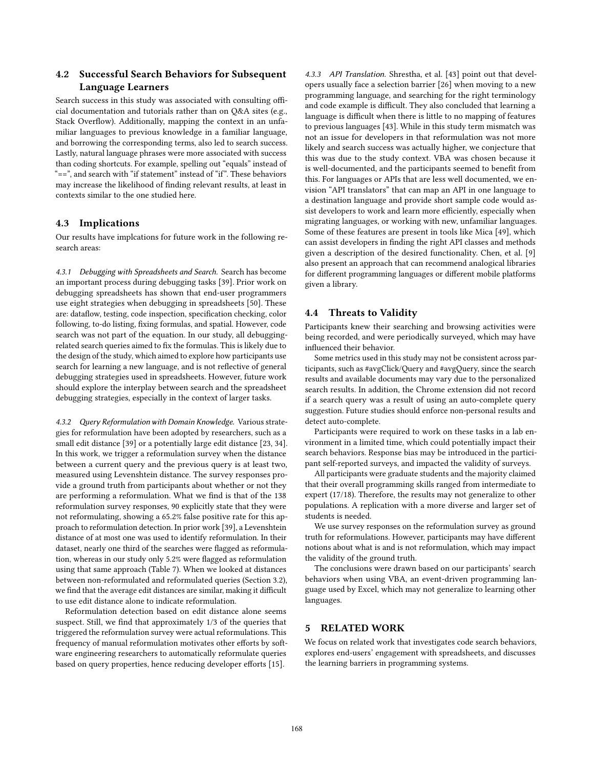# **4.2 Successful Search Behaviors for Subsequent Language Learners**

Search success in this study was associated with consulting official documentation and tutorials rather than on Q&A sites (e.g., Stack Overflow). Additionally, mapping the context in an unfamiliar languages to previous knowledge in a familiar language, and borrowing the corresponding terms, also led to search success. Lastly, natural language phrases were more associated with success than coding shortcuts. For example, spelling out "equals" instead of "==", and search with "if statement" instead of "if". These behaviors may increase the likelihood of finding relevant results, at least in contexts similar to the one studied here.

# **4.3 Implications**

Our results have implcations for future work in the following research areas:

*4.3.1 Debugging with Spreadsheets and Search.* Search has become an important process during debugging tasks [39]. Prior work on debugging spreadsheets has shown that end-user programmers use eight strategies when debugging in spreadsheets [50]. These are: dataflow, testing, code inspection, specification checking, color following, to-do listing, fixing formulas, and spatial. However, code search was not part of the equation. In our study, all debuggingrelated search queries aimed to fix the formulas. This is likely due to the design of the study, which aimed to explore how participants use search for learning a new language, and is not reflective of general debugging strategies used in spreadsheets. However, future work should explore the interplay between search and the spreadsheet debugging strategies, especially in the context of larger tasks.

*4.3.2 Query Reformulation with Domain Knowledge.* Various strategies for reformulation have been adopted by researchers, such as a small edit distance [39] or a potentially large edit distance [23, 34]. In this work, we trigger a reformulation survey when the distance between a current query and the previous query is at least two, measured using Levenshtein distance. The survey responses provide a ground truth from participants about whether or not they are performing a reformulation. What we find is that of the 138 reformulation survey responses, 90 explicitly state that they were not reformulating, showing a 65.2% false positive rate for this approach to reformulation detection. In prior work [39], a Levenshtein distance of at most one was used to identify reformulation. In their dataset, nearly one third of the searches were flagged as reformulation, whereas in our study only 5.2% were flagged as reformulation using that same approach (Table 7). When we looked at distances between non-reformulated and reformulated queries (Section 3.2), we find that the average edit distances are similar, making it difficult to use edit distance alone to indicate reformulation.

Reformulation detection based on edit distance alone seems suspect. Still, we find that approximately 1/3 of the queries that triggered the reformulation survey were actual reformulations. This frequency of manual reformulation motivates other efforts by software engineering researchers to automatically reformulate queries based on query properties, hence reducing developer efforts [15].

*4.3.3 API Translation.* Shrestha, et al. [43] point out that developers usually face a selection barrier [26] when moving to a new programming language, and searching for the right terminology and code example is difficult. They also concluded that learning a language is difficult when there is little to no mapping of features to previous languages [43]. While in this study term mismatch was not an issue for developers in that reformulation was not more likely and search success was actually higher, we conjecture that this was due to the study context. VBA was chosen because it is well-documented, and the participants seemed to benefit from this. For languages or APIs that are less well documented, we envision "API translators" that can map an API in one language to a destination language and provide short sample code would assist developers to work and learn more efficiently, especially when migrating languages, or working with new, unfamiliar languages. Some of these features are present in tools like Mica [49], which can assist developers in finding the right API classes and methods given a description of the desired functionality. Chen, et al. [9] also present an approach that can recommend analogical libraries for different programming languages or different mobile platforms given a library.

### **4.4 Threats to Validity**

Participants knew their searching and browsing activities were being recorded, and were periodically surveyed, which may have influenced their behavior.

Some metrics used in this study may not be consistent across participants, such as #avgClick/Query and #avgQuery, since the search results and available documents may vary due to the personalized search results. In addition, the Chrome extension did not record if a search query was a result of using an auto-complete query suggestion. Future studies should enforce non-personal results and detect auto-complete.

Participants were required to work on these tasks in a lab environment in a limited time, which could potentially impact their search behaviors. Response bias may be introduced in the participant self-reported surveys, and impacted the validity of surveys.

All participants were graduate students and the majority claimed that their overall programming skills ranged from intermediate to expert (17/18). Therefore, the results may not generalize to other populations. A replication with a more diverse and larger set of students is needed.

We use survey responses on the reformulation survey as ground truth for reformulations. However, participants may have different notions about what is and is not reformulation, which may impact the validity of the ground truth.

The conclusions were drawn based on our participants' search behaviors when using VBA, an event-driven programming language used by Excel, which may not generalize to learning other languages.

# **5 RELATED WORK**

We focus on related work that investigates code search behaviors, explores end-users' engagement with spreadsheets, and discusses the learning barriers in programming systems.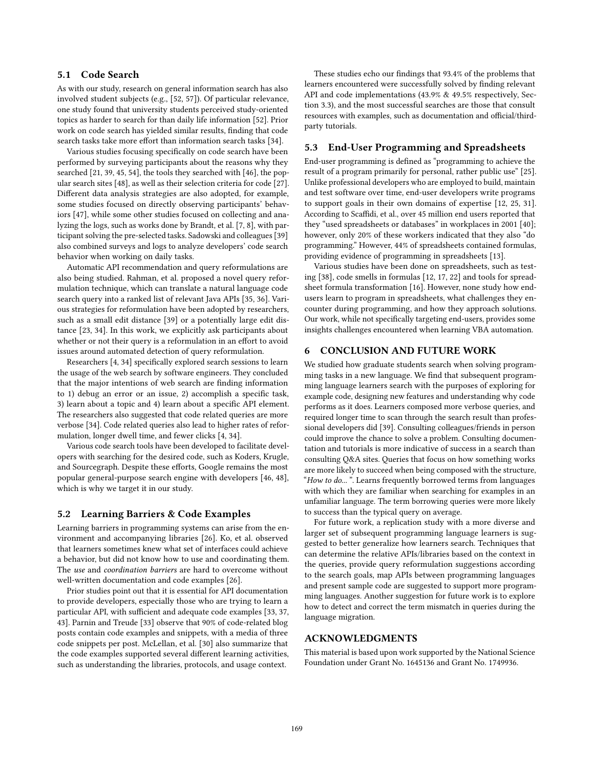# **5.1 Code Search**

As with our study, research on general information search has also involved student subjects (e.g., [52, 57]). Of particular relevance, one study found that university students perceived study-oriented topics as harder to search for than daily life information [52]. Prior work on code search has yielded similar results, finding that code search tasks take more effort than information search tasks [34].

Various studies focusing specifically on code search have been performed by surveying participants about the reasons why they searched [21, 39, 45, 54], the tools they searched with [46], the popular search sites [48], as well as their selection criteria for code [27]. Different data analysis strategies are also adopted, for example, some studies focused on directly observing participants' behaviors [47], while some other studies focused on collecting and analyzing the logs, such as works done by Brandt, et al. [7, 8], with participant solving the pre-selected tasks. Sadowski and colleagues [39] also combined surveys and logs to analyze developers' code search behavior when working on daily tasks.

Automatic API recommendation and query reformulations are also being studied. Rahman, et al. proposed a novel query reformulation technique, which can translate a natural language code search query into a ranked list of relevant Java APIs [35, 36]. Various strategies for reformulation have been adopted by researchers, such as a small edit distance [39] or a potentially large edit distance [23, 34]. In this work, we explicitly ask participants about whether or not their query is a reformulation in an effort to avoid issues around automated detection of query reformulation.

Researchers [4, 34] specifically explored search sessions to learn the usage of the web search by software engineers. They concluded that the major intentions of web search are finding information to 1) debug an error or an issue, 2) accomplish a specific task, 3) learn about a topic and 4) learn about a specific API element. The researchers also suggested that code related queries are more verbose [34]. Code related queries also lead to higher rates of reformulation, longer dwell time, and fewer clicks [4, 34].

Various code search tools have been developed to facilitate developers with searching for the desired code, such as Koders, Krugle, and Sourcegraph. Despite these efforts, Google remains the most popular general-purpose search engine with developers [46, 48], which is why we target it in our study.

#### **5.2 Learning Barriers & Code Examples**

Learning barriers in programming systems can arise from the environment and accompanying libraries [26]. Ko, et al. observed that learners sometimes knew what set of interfaces could achieve a behavior, but did not know how to use and coordinating them. The use and coordination barriers are hard to overcome without well-written documentation and code examples [26].

Prior studies point out that it is essential for API documentation to provide developers, especially those who are trying to learn a particular API, with sufficient and adequate code examples [33, 37, 43]. Parnin and Treude [33] observe that 90% of code-related blog posts contain code examples and snippets, with a media of three code snippets per post. McLellan, et al. [30] also summarize that the code examples supported several different learning activities, such as understanding the libraries, protocols, and usage context.

These studies echo our findings that 93.4% of the problems that learners encountered were successfully solved by finding relevant API and code implementations (43.9% & 49.5% respectively, Section 3.3), and the most successful searches are those that consult resources with examples, such as documentation and official/thirdparty tutorials.

#### **5.3 End-User Programming and Spreadsheets**

End-user programming is defined as "programming to achieve the result of a program primarily for personal, rather public use" [25]. Unlike professional developers who are employed to build, maintain and test software over time, end-user developers write programs to support goals in their own domains of expertise [12, 25, 31]. According to Scaffidi, et al., over 45 million end users reported that they "used spreadsheets or databases" in workplaces in 2001 [40]; however, only 20% of these workers indicated that they also "do programming." However, 44% of spreadsheets contained formulas, providing evidence of programming in spreadsheets [13].

Various studies have been done on spreadsheets, such as testing [38], code smells in formulas [12, 17, 22] and tools for spreadsheet formula transformation [16]. However, none study how endusers learn to program in spreadsheets, what challenges they encounter during programming, and how they approach solutions. Our work, while not specifically targeting end-users, provides some insights challenges encountered when learning VBA automation.

# **6 CONCLUSION AND FUTURE WORK**

We studied how graduate students search when solving programming tasks in a new language. We find that subsequent programming language learners search with the purposes of exploring for example code, designing new features and understanding why code performs as it does. Learners composed more verbose queries, and required longer time to scan through the search result than professional developers did [39]. Consulting colleagues/friends in person could improve the chance to solve a problem. Consulting documentation and tutorials is more indicative of success in a search than consulting Q&A sites. Queries that focus on how something works are more likely to succeed when being composed with the structure, "How to do...". Learns frequently borrowed terms from languages with which they are familiar when searching for examples in an unfamiliar language. The term borrowing queries were more likely to success than the typical query on average.

For future work, a replication study with a more diverse and larger set of subsequent programming language learners is suggested to better generalize how learners search. Techniques that can determine the relative APIs/libraries based on the context in the queries, provide query reformulation suggestions according to the search goals, map APIs between programming languages and present sample code are suggested to support more programming languages. Another suggestion for future work is to explore how to detect and correct the term mismatch in queries during the language migration.

# **ACKNOWLEDGMENTS**

This material is based upon work supported by the National Science Foundation under Grant No. 1645136 and Grant No. 1749936.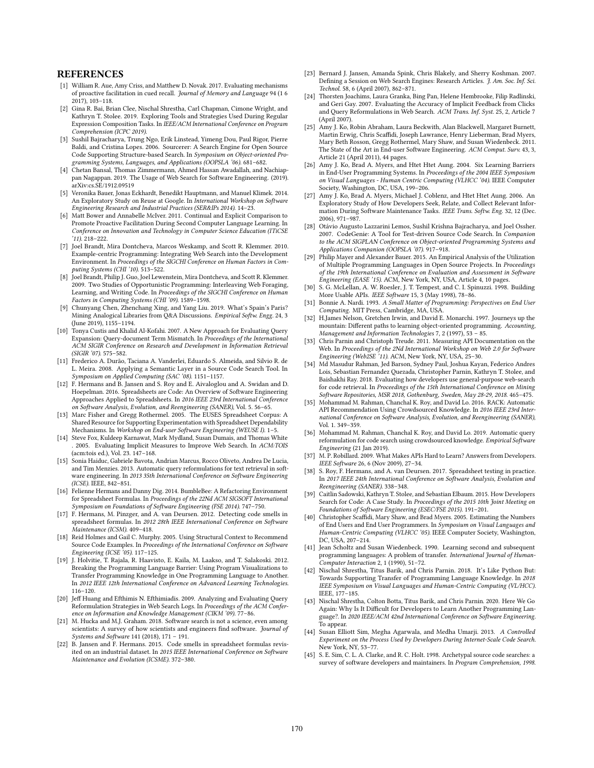### **REFERENCES**

- [1] William R. Aue, Amy Criss, and Matthew D. Novak. 2017. Evaluating mechanisms of proactive facilitation in cued recall. Journal of Memory and Language 94 (1 6 2017), 103–118.
- [2] Gina R. Bai, Brian Clee, Nischal Shrestha, Carl Chapman, Cimone Wright, and Kathryn T. Stolee. 2019. Exploring Tools and Strategies Used During Regular Expression Composition Tasks. In IEEE/ACM International Conference on Program Comprehension (ICPC 2019).
- [3] Sushil Bajracharya, Trung Ngo, Erik Linstead, Yimeng Dou, Paul Rigor, Pierre Baldi, and Cristina Lopes. 2006. Sourcerer: A Search Engine for Open Source Code Supporting Structure-based Search. In Symposium on Object-oriented Programming Systems, Languages, and Applications (OOPSLA '06). 681–682.
- [4] Chetan Bansal, Thomas Zimmermann, Ahmed Hassan Awadallah, and Nachiappan Nagappan. 2019. The Usage of Web Search for Software Engineering. (2019). arXiv:cs.SE/1912.09519
- [5] Veronika Bauer, Jonas Eckhardt, Benedikt Hauptmann, and Manuel Klimek. 2014. An Exploratory Study on Reuse at Google. In International Workshop on Software Engineering Research and Industrial Practices (SER&IPs 2014). 14–23.
- [6] Matt Bower and Annabelle McIver. 2011. Continual and Explicit Comparison to Promote Proactive Facilitation During Second Computer Language Learning. In Conference on Innovation and Technology in Computer Science Education (ITiCSE '11). 218–222.
- [7] Joel Brandt, Mira Dontcheva, Marcos Weskamp, and Scott R. Klemmer. 2010. Example-centric Programming: Integrating Web Search into the Development Environment. In Proceedings of the SIGCHI Conference on Human Factors in Computing Systems (CHI '10). 513–522.
- [8] Joel Brandt, Philip J. Guo, Joel Lewenstein, Mira Dontcheva, and Scott R. Klemmer. 2009. Two Studies of Opportunistic Programming: Interleaving Web Foraging,<br>Learning, and Writing Code. In *Proceedings of the SIGCHI Conference on Human* Factors in Computing Systems (CHI '09). 1589–1598.
- [9] Chunyang Chen, Zhenchang Xing, and Yang Liu. 2019. What's Spain's Paris? Mining Analogical Libraries from Q&A Discussions. Empirical Softw. Engg. 24, 3 (June 2019), 1155–1194.
- [10] Tonya Custis and Khalid Al-Kofahi. 2007. A New Approach for Evaluating Query Expansion: Query-document Term Mismatch. In Proceedings of the International ACM SIGIR Conference on Research and Development in Information Retrieval (SIGIR '07). 575–582.
- [11] Frederico A. Durão, Taciana A. Vanderlei, Eduardo S. Almeida, and Silvio R. de L. Meira. 2008. Applying a Semantic Layer in a Source Code Search Tool. In Symposium on Applied Computing (SAC '08). 1151–1157.
- [12] F. Hermans and B. Jansen and S. Roy and E. Aivaloglou and A. Swidan and D. Hoepelman. 2016. Spreadsheets are Code: An Overview of Software Engineering Approaches Applied to Spreadsheets. In 2016 IEEE 23rd International Conference on Software Analysis, Evolution, and Reengineering (SANER), Vol. 5. 56–65.
- [13] Marc Fisher and Gregg Rothermel. 2005. The EUSES Spreadsheet Corpus: A Shared Resource for Supporting Experimentation with Spreadsheet Dependability Mechanisms. In Workshop on End-user Software Engineering (WEUSE I). 1-5.
- [14] Steve Fox, Kuldeep Karnawat, Mark Mydland, Susan Dumais, and Thomas White . 2005. Evaluating Implicit Measures to Improve Web Search. In ACM:TOIS (acm:tois ed.), Vol. 23. 147–168.
- [15] Sonia Haiduc, Gabriele Bavota, Andrian Marcus, Rocco Oliveto, Andrea De Lucia, and Tim Menzies. 2013. Automatic query reformulations for text retrieval in software engineering. In 2013 35th International Conference on Software Engineering (ICSE). IEEE, 842–851.
- [16] Felienne Hermans and Danny Dig. 2014. BumbleBee: A Refactoring Environment for Spreadsheet Formulas. In Proceedings of the 22Nd ACM SIGSOFT International Symposium on Foundations of Software Engineering (FSE 2014). 747–750.
- [17] F. Hermans, M. Pinzger, and A. van Deursen. 2012. Detecting code smells in spreadsheet formulas. In 2012 28th IEEE International Conference on Software Maintenance (ICSM). 409–418.
- [18] Reid Holmes and Gail C. Murphy. 2005. Using Structural Context to Recommend Source Code Examples. In Proceedings of the International Conference on Software Engineering (ICSE '05). 117–125.
- [19] J. Holvitie, T. Rajala, R. Haavisto, E. Kaila, M. Laakso, and T. Salakoski. 2012. Breaking the Programming Language Barrier: Using Program Visualizations to Transfer Programming Knowledge in One Programming Language to Another. In 2012 IEEE 12th International Conference on Advanced Learning Technologies. 116–120.
- [20] Jeff Huang and Efthimis N. Efthimiadis. 2009. Analyzing and Evaluating Query Reformulation Strategies in Web Search Logs. In Proceedings of the ACM Conference on Information and Knowledge Management (CIKM '09). 77–86.
- [21] M. Hucka and M.J. Graham. 2018. Software search is not a science, even among scientists: A survey of how scientists and engineers find software. Journal of Systems and Software 141 (2018), 171 – 191.
- [22] B. Jansen and F. Hermans. 2015. Code smells in spreadsheet formulas revisited on an industrial dataset. In 2015 IEEE International Conference on Software Maintenance and Evolution (ICSME). 372–380.
- [23] Bernard J. Jansen, Amanda Spink, Chris Blakely, and Sherry Koshman. 2007. Defining a Session on Web Search Engines: Research Articles. J. Am. Soc. Inf. Sci. Technol. 58, 6 (April 2007), 862–871.
- [24] Thorsten Joachims, Laura Granka, Bing Pan, Helene Hembrooke, Filip Radlinski, and Geri Gay. 2007. Evaluating the Accuracy of Implicit Feedback from Clicks and Query Reformulations in Web Search. ACM Trans. Inf. Syst. 25, 2, Article 7 (April 2007).
- [25] Amy J. Ko, Robin Abraham, Laura Beckwith, Alan Blackwell, Margaret Burnett, Martin Erwig, Chris Scaffidi, Joseph Lawrance, Henry Lieberman, Brad Myers, Mary Beth Rosson, Gregg Rothermel, Mary Shaw, and Susan Wiedenbeck. 2011. The State of the Art in End-user Software Engineering. ACM Comput. Surv. 43, 3, Article 21 (April 2011), 44 pages.
- [26] Amy J. Ko, Brad A. Myers, and Htet Htet Aung. 2004. Six Learning Barriers in End-User Programming Systems. In Proceedings of the 2004 IEEE Symposium on Visual Languages - Human Centric Computing (VLHCC '04). IEEE Computer Society, Washington, DC, USA, 199–206.
- [27] Amy J. Ko, Brad A. Myers, Michael J. Coblenz, and Htet Htet Aung. 2006. An Exploratory Study of How Developers Seek, Relate, and Collect Relevant Information During Software Maintenance Tasks. IEEE Trans. Softw. Eng. 32, 12 (Dec. 2006), 971–987.
- [28] Otávio Augusto Lazzarini Lemos, Sushil Krishna Bajracharya, and Joel Ossher. 2007. CodeGenie: A Tool for Test-driven Source Code Search. In Companion to the ACM SIGPLAN Conference on Object-oriented Programming Systems and Applications Companion (OOPSLA '07). 917–918.
- [29] Philip Mayer and Alexander Bauer. 2015. An Empirical Analysis of the Utilization of Multiple Programming Languages in Open Source Projects. In Proceedings of the 19th International Conference on Evaluation and Assessment in Software Engineering (EASE '15). ACM, New York, NY, USA, Article 4, 10 pages.
- [30] S. G. McLellan, A. W. Roesler, J. T. Tempest, and C. I. Spinuzzi. 1998. Building More Usable APIs. IEEE Software 15, 3 (May 1998), 78–86.
- [31] Bonnie A. Nardi. 1993. A Small Matter of Programming: Perspectives on End User Computing. MIT Press, Cambridge, MA, USA.
- [32] H.James Nelson, Gretchen Irwin, and David E. Monarchi. 1997. Journeys up the mountain: Different paths to learning object-oriented programming. Accounting, Management and Information Technologies 7, 2 (1997), 53 – 85.
- [33] Chris Parnin and Christoph Treude. 2011. Measuring API Documentation on the Web. In Proceedings of the 2Nd International Workshop on Web 2.0 for Software Engineering (Web2SE '11). ACM, New York, NY, USA, 25–30.
- [34] Md Masudur Rahman, Jed Barson, Sydney Paul, Joshua Kayan, Federico Andres Lois, Sebastian Fernandez Quezada, Christopher Parnin, Kathryn T. Stolee, and Baishakhi Ray. 2018. Evaluating how developers use general-purpose web-search for code retrieval. In Proceedings of the 15th International Conference on Mining
- Software Repositories, MSR 2018, Gothenburg, Sweden, May 28-29, 2018. 465–475. [35] Mohammad M. Rahman, Chanchal K. Roy, and David Lo. 2016. RACK: Automatic API Recommendation Using Crowdsourced Knowledge. In 2016 IEEE 23rd International Conference on Software Analysis, Evolution, and Reengineering (SANER), Vol. 1. 349–359.
- [36] Mohammad M. Rahman, Chanchal K. Roy, and David Lo. 2019. Automatic query reformulation for code search using crowdsourced knowledge. Empirical Software Engineering (21 Jan 2019).
- [37] M. P. Robillard. 2009. What Makes APIs Hard to Learn? Answers from Developers. IEEE Software 26, 6 (Nov 2009), 27–34.
- [38] S. Roy, F. Hermans, and A. van Deursen. 2017. Spreadsheet testing in practice. In 2017 IEEE 24th International Conference on Software Analysis, Evolution and Reengineering (SANER). 338–348.
- [39] Caitlin Sadowski, Kathryn T. Stolee, and Sebastian Elbaum. 2015. How Developers Search for Code: A Case Study. In Proceedings of the 2015 10th Joint Meeting on Foundations of Software Engineering (ESEC/FSE 2015). 191–201.
- [40] Christopher Scaffidi, Mary Shaw, and Brad Myers. 2005. Estimating the Numbers of End Users and End User Programmers. In Symposium on Visual Languages and Human-Centric Computing (VLHCC '05). IEEE Computer Society, Washington, DC, USA, 207–214.
- [41] Jean Scholtz and Susan Wiedenbeck. 1990. Learning second and subsequent programming languages: A problem of transfer. International Journal of Human-Computer Interaction 2, 1 (1990), 51–72.
- [42] Nischal Shrestha, Titus Barik, and Chris Parnin. 2018. It's Like Python But: Towards Supporting Transfer of Programming Language Knowledge. In 2018 IEEE Symposium on Visual Languages and Human-Centric Computing (VL/HCC). IEEE, 177–185.
- [43] Nischal Shrestha, Colton Botta, Titus Barik, and Chris Parnin. 2020. Here We Go Again: Why Is It Difficult for Developers to Learn Another Programming Language?. In 2020 IEEE/ACM 42nd International Conference on Software Engineering. To appear.
- [44] Susan Elliott Sim, Megha Agarwala, and Medha Umarji. 2013. A Controlled Experiment on the Process Used by Developers During Internet-Scale Code Search. New York, NY, 53–77.
- [45] S. E. Sim, C. L. A. Clarke, and R. C. Holt. 1998. Archetypal source code searches: a survey of software developers and maintainers. In Program Comprehension, 1998.